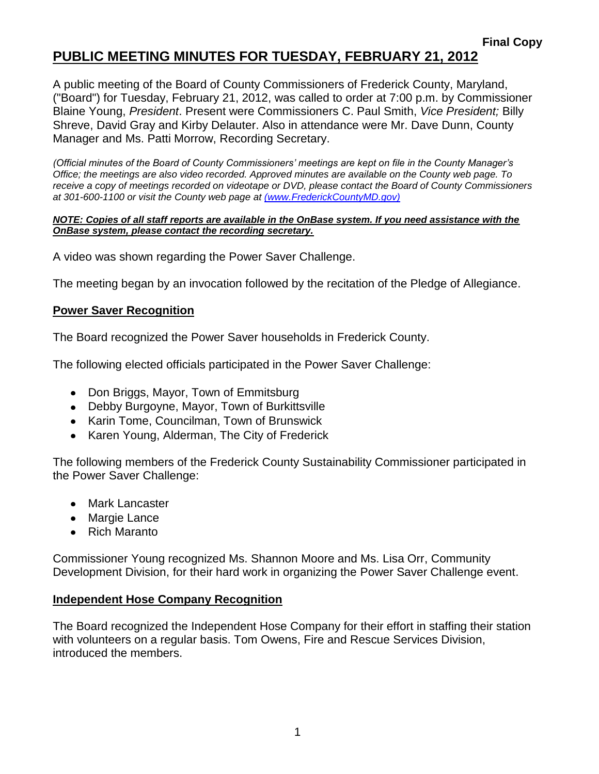A public meeting of the Board of County Commissioners of Frederick County, Maryland, ("Board") for Tuesday, February 21, 2012, was called to order at 7:00 p.m. by Commissioner Blaine Young, *President*. Present were Commissioners C. Paul Smith, *Vice President;* Billy Shreve, David Gray and Kirby Delauter. Also in attendance were Mr. Dave Dunn, County Manager and Ms. Patti Morrow, Recording Secretary.

*(Official minutes of the Board of County Commissioners' meetings are kept on file in the County Manager's Office; the meetings are also video recorded. Approved minutes are available on the County web page. To receive a copy of meetings recorded on videotape or DVD, please contact the Board of County Commissioners at 301-600-1100 or visit the County web page at [\(www.FrederickCountyMD.gov\)](file://NT1S5/BOCC/BOCC/BOCC%20Minutes/Patti)*

#### *NOTE: Copies of all staff reports are available in the OnBase system. If you need assistance with the OnBase system, please contact the recording secretary.*

A video was shown regarding the Power Saver Challenge.

The meeting began by an invocation followed by the recitation of the Pledge of Allegiance.

#### **Power Saver Recognition**

The Board recognized the Power Saver households in Frederick County.

The following elected officials participated in the Power Saver Challenge:

- Don Briggs, Mayor, Town of Emmitsburg
- Debby Burgoyne, Mayor, Town of Burkittsville
- Karin Tome, Councilman, Town of Brunswick
- Karen Young, Alderman, The City of Frederick

The following members of the Frederick County Sustainability Commissioner participated in the Power Saver Challenge:

- Mark Lancaster
- Margie Lance
- Rich Maranto

Commissioner Young recognized Ms. Shannon Moore and Ms. Lisa Orr, Community Development Division, for their hard work in organizing the Power Saver Challenge event.

#### **Independent Hose Company Recognition**

The Board recognized the Independent Hose Company for their effort in staffing their station with volunteers on a regular basis. Tom Owens, Fire and Rescue Services Division, introduced the members.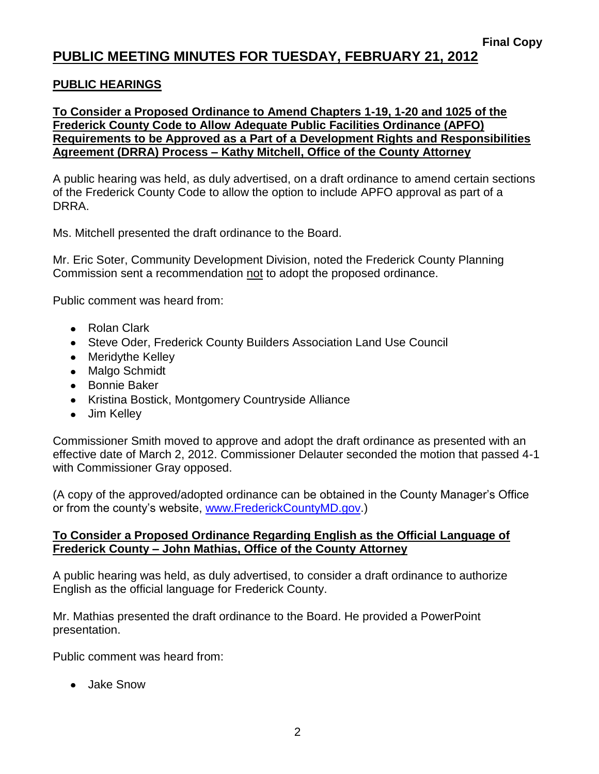#### **PUBLIC HEARINGS**

**To Consider a Proposed Ordinance to Amend Chapters 1-19, 1-20 and 1025 of the Frederick County Code to Allow Adequate Public Facilities Ordinance (APFO) Requirements to be Approved as a Part of a Development Rights and Responsibilities Agreement (DRRA) Process – Kathy Mitchell, Office of the County Attorney**

A public hearing was held, as duly advertised, on a draft ordinance to amend certain sections of the Frederick County Code to allow the option to include APFO approval as part of a DRRA.

Ms. Mitchell presented the draft ordinance to the Board.

Mr. Eric Soter, Community Development Division, noted the Frederick County Planning Commission sent a recommendation not to adopt the proposed ordinance.

Public comment was heard from:

- Rolan Clark
- Steve Oder, Frederick County Builders Association Land Use Council
- Meridythe Kelley
- Malgo Schmidt
- Bonnie Baker
- Kristina Bostick, Montgomery Countryside Alliance
- Jim Kelley

Commissioner Smith moved to approve and adopt the draft ordinance as presented with an effective date of March 2, 2012. Commissioner Delauter seconded the motion that passed 4-1 with Commissioner Gray opposed.

(A copy of the approved/adopted ordinance can be obtained in the County Manager's Office or from the county's website, [www.FrederickCountyMD.gov.](http://www.frederickcountymd.gov/))

#### **To Consider a Proposed Ordinance Regarding English as the Official Language of Frederick County – John Mathias, Office of the County Attorney**

A public hearing was held, as duly advertised, to consider a draft ordinance to authorize English as the official language for Frederick County.

Mr. Mathias presented the draft ordinance to the Board. He provided a PowerPoint presentation.

Public comment was heard from:

Jake Snow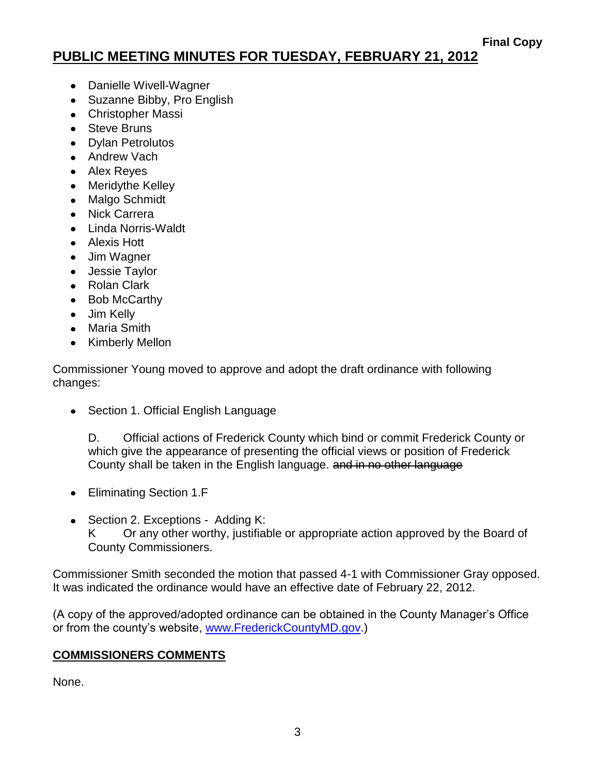- Danielle Wivell-Wagner
- Suzanne Bibby, Pro English
- Christopher Massi
- Steve Bruns
- Dylan Petrolutos
- Andrew Vach
- Alex Reyes
- Meridythe Kelley
- Malgo Schmidt
- Nick Carrera
- Linda Norris-Waldt
- Alexis Hott
- Jim Wagner
- Jessie Taylor
- Rolan Clark
- Bob McCarthy
- Jim Kelly
- Maria Smith
- Kimberly Mellon

Commissioner Young moved to approve and adopt the draft ordinance with following changes:

• Section 1. Official English Language

D. Official actions of Frederick County which bind or commit Frederick County or which give the appearance of presenting the official views or position of Frederick County shall be taken in the English language. and in no other language

- Eliminating Section 1.F
- Section 2. Exceptions Adding K:

K Or any other worthy, justifiable or appropriate action approved by the Board of County Commissioners.

Commissioner Smith seconded the motion that passed 4-1 with Commissioner Gray opposed. It was indicated the ordinance would have an effective date of February 22, 2012.

(A copy of the approved/adopted ordinance can be obtained in the County Manager's Office or from the county's website, [www.FrederickCountyMD.gov.](http://www.frederickcountymd.gov/))

## **COMMISSIONERS COMMENTS**

None.